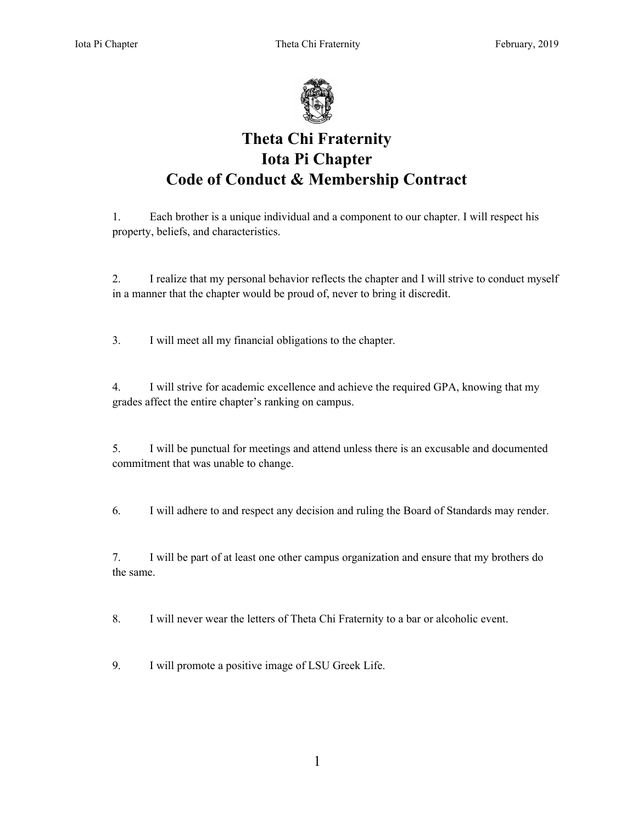

## **Theta Chi Fraternity Iota Pi Chapter Code of Conduct & Membership Contract**

1. Each brother is a unique individual and a component to our chapter. I will respect his property, beliefs, and characteristics.

2. I realize that my personal behavior reflects the chapter and I will strive to conduct myself in a manner that the chapter would be proud of, never to bring it discredit.

3. I will meet all my financial obligations to the chapter.

4. I will strive for academic excellence and achieve the required GPA, knowing that my grades affect the entire chapter's ranking on campus.

5. I will be punctual for meetings and attend unless there is an excusable and documented commitment that was unable to change.

6. I will adhere to and respect any decision and ruling the Board of Standards may render.

7. I will be part of at least one other campus organization and ensure that my brothers do the same.

8. I will never wear the letters of Theta Chi Fraternity to a bar or alcoholic event.

9. I will promote a positive image of LSU Greek Life.